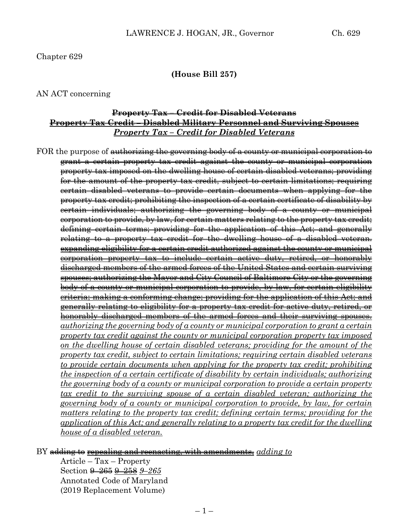#### Chapter 629

#### **(House Bill 257)**

#### AN ACT concerning

### **Property Tax – Credit for Disabled Veterans Property Tax Credit – Disabled Military Personnel and Surviving Spouses** *Property Tax – Credit for Disabled Veterans*

FOR the purpose of authorizing the governing body of a county or municipal corporation to grant a certain property tax credit against the county or municipal corporation property tax imposed on the dwelling house of certain disabled veterans; providing for the amount of the property tax credit, subject to certain limitations; requiring certain disabled veterans to provide certain documents when applying for the property tax credit; prohibiting the inspection of a certain certificate of disability by certain individuals; authorizing the governing body of a county or municipal corporation to provide, by law, for certain matters relating to the property tax credit; defining certain terms; providing for the application of this Act; and generally relating to a property tax credit for the dwelling house of a disabled veteran. expanding eligibility for a certain credit authorized against the county or municipal corporation property tax to include certain active duty, retired, or honorably discharged members of the armed forces of the United States and certain surviving spouses; authorizing the Mayor and City Council of Baltimore City or the governing body of a county or municipal corporation to provide, by law, for certain eligibility criteria; making a conforming change; providing for the application of this Act; and generally relating to eligibility for a property tax credit for active duty, retired, or honorably discharged members of the armed forces and their surviving spouses. *authorizing the governing body of a county or municipal corporation to grant a certain property tax credit against the county or municipal corporation property tax imposed on the dwelling house of certain disabled veterans; providing for the amount of the property tax credit, subject to certain limitations; requiring certain disabled veterans to provide certain documents when applying for the property tax credit; prohibiting the inspection of a certain certificate of disability by certain individuals; authorizing the governing body of a county or municipal corporation to provide a certain property tax credit to the surviving spouse of a certain disabled veteran; authorizing the governing body of a county or municipal corporation to provide, by law, for certain matters relating to the property tax credit; defining certain terms; providing for the application of this Act; and generally relating to a property tax credit for the dwelling house of a disabled veteran.*

#### BY adding to repealing and reenacting, with amendments, *adding to*

Article – Tax – Property Section 9–265 9–258 *9–265* Annotated Code of Maryland (2019 Replacement Volume)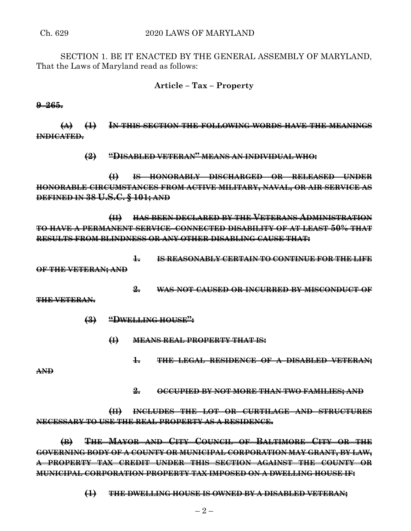SECTION 1. BE IT ENACTED BY THE GENERAL ASSEMBLY OF MARYLAND, That the Laws of Maryland read as follows:

# **Article – Tax – Property**

**9–265.**

**(A) (1) IN THIS SECTION THE FOLLOWING WORDS HAVE THE MEANINGS INDICATED.**

**(2) "DISABLED VETERAN" MEANS AN INDIVIDUAL WHO:**

**(I) IS HONORABLY DISCHARGED OR RELEASED UNDER HONORABLE CIRCUMSTANCES FROM ACTIVE MILITARY, NAVAL, OR AIR SERVICE AS DEFINED IN 38 U.S.C. § 101; AND**

**(II) HAS BEEN DECLARED BY THE VETERANS ADMINISTRATION TO HAVE A PERMANENT SERVICE–CONNECTED DISABILITY OF AT LEAST 50% THAT RESULTS FROM BLINDNESS OR ANY OTHER DISABLING CAUSE THAT:**

**1. IS REASONABLY CERTAIN TO CONTINUE FOR THE LIFE**

**OF THE VETERAN; AND**

**2. WAS NOT CAUSED OR INCURRED BY MISCONDUCT OF**

**THE VETERAN.**

- **(3) "DWELLING HOUSE":**
	- **(I) MEANS REAL PROPERTY THAT IS:**
		- **1. THE LEGAL RESIDENCE OF A DISABLED VETERAN;**

**AND**

**2. OCCUPIED BY NOT MORE THAN TWO FAMILIES; AND**

**(II) INCLUDES THE LOT OR CURTILAGE AND STRUCTURES NECESSARY TO USE THE REAL PROPERTY AS A RESIDENCE.**

**(B) THE MAYOR AND CITY COUNCIL OF BALTIMORE CITY OR THE GOVERNING BODY OF A COUNTY OR MUNICIPAL CORPORATION MAY GRANT, BY LAW, A PROPERTY TAX CREDIT UNDER THIS SECTION AGAINST THE COUNTY OR MUNICIPAL CORPORATION PROPERTY TAX IMPOSED ON A DWELLING HOUSE IF:**

**(1) THE DWELLING HOUSE IS OWNED BY A DISABLED VETERAN;**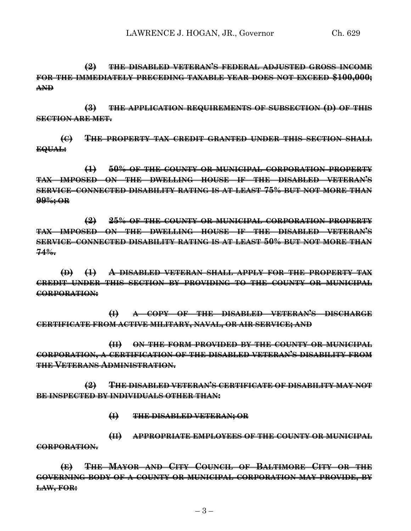**(2) THE DISABLED VETERAN'S FEDERAL ADJUSTED GROSS INCOME FOR THE IMMEDIATELY PRECEDING TAXABLE YEAR DOES NOT EXCEED \$100,000; AND**

**(3) THE APPLICATION REQUIREMENTS OF SUBSECTION (D) OF THIS SECTION ARE MET.**

**(C) THE PROPERTY TAX CREDIT GRANTED UNDER THIS SECTION SHALL EQUAL:**

**(1) 50% OF THE COUNTY OR MUNICIPAL CORPORATION PROPERTY TAX IMPOSED ON THE DWELLING HOUSE IF THE DISABLED VETERAN'S SERVICE–CONNECTED DISABILITY RATING IS AT LEAST 75% BUT NOT MORE THAN 99%; OR**

**(2) 25% OF THE COUNTY OR MUNICIPAL CORPORATION PROPERTY TAX IMPOSED ON THE DWELLING HOUSE IF THE DISABLED VETERAN'S SERVICE–CONNECTED DISABILITY RATING IS AT LEAST 50% BUT NOT MORE THAN 74%.**

**(D) (1) A DISABLED VETERAN SHALL APPLY FOR THE PROPERTY TAX CREDIT UNDER THIS SECTION BY PROVIDING TO THE COUNTY OR MUNICIPAL CORPORATION:**

**(I) A COPY OF THE DISABLED VETERAN'S DISCHARGE CERTIFICATE FROM ACTIVE MILITARY, NAVAL, OR AIR SERVICE; AND**

**(II) ON THE FORM PROVIDED BY THE COUNTY OR MUNICIPAL CORPORATION, A CERTIFICATION OF THE DISABLED VETERAN'S DISABILITY FROM THE VETERANS ADMINISTRATION.**

**(2) THE DISABLED VETERAN'S CERTIFICATE OF DISABILITY MAY NOT BE INSPECTED BY INDIVIDUALS OTHER THAN:**

**(I) THE DISABLED VETERAN; OR**

**(II) APPROPRIATE EMPLOYEES OF THE COUNTY OR MUNICIPAL CORPORATION.**

**(E) THE MAYOR AND CITY COUNCIL OF BALTIMORE CITY OR THE GOVERNING BODY OF A COUNTY OR MUNICIPAL CORPORATION MAY PROVIDE, BY LAW, FOR:**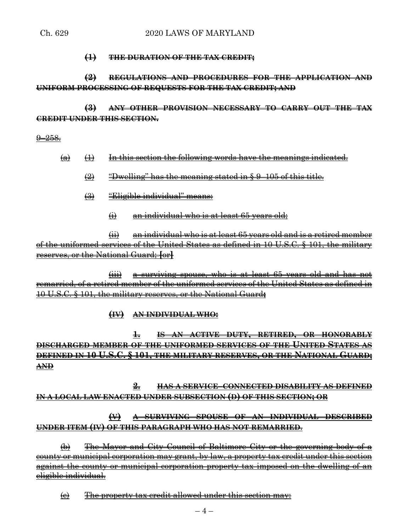### **(1) THE DURATION OF THE TAX CREDIT;**

# **(2) REGULATIONS AND PROCEDURES FOR THE APPLICATION AND UNIFORM PROCESSING OF REQUESTS FOR THE TAX CREDIT; AND**

**(3) ANY OTHER PROVISION NECESSARY TO CARRY OUT THE TAX CREDIT UNDER THIS SECTION.**

 $9 - 258$ .

- $\leftrightarrow$   $\leftrightarrow$  In this section the following words have the meanings indicated.
	- (2) "Dwelling" has the meaning stated in § 9–105 of this title.
	- (3) "Eligible individual" means:
		- (i) an individual who is at least 65 years old;

 $\overline{\text{in}}$  an individual who is at least 65 years old and is a retired member of the uniformed services of the United States as defined in 10 U.S.C. § 101, the military reserves, or the National Guard; **[**or**]**

(iii) a surviving spouse, who is at least 65 years old and has not remarried, of a retired member of the uniformed services of the United States as defined in 10 U.S.C. § 101, the military reserves, or the National Guard**;**

### **(IV) AN INDIVIDUAL WHO:**

**1. IS AN ACTIVE DUTY, RETIRED, OR HONORABLY DISCHARGED MEMBER OF THE UNIFORMED SERVICES OF THE UNITED STATES AS DEFINED IN 10 U.S.C. § 101, THE MILITARY RESERVES, OR THE NATIONAL GUARD; AND**

**2. HAS A SERVICE–CONNECTED DISABILITY AS DEFINED IN A LOCAL LAW ENACTED UNDER SUBSECTION (D) OF THIS SECTION; OR**

# **(V) A SURVIVING SPOUSE OF AN INDIVIDUAL DESCRIBED UNDER ITEM (IV) OF THIS PARAGRAPH WHO HAS NOT REMARRIED**.

(b) The Mayor and City Council of Baltimore City or the governing body of a county or municipal corporation may grant, by law, a property tax credit under this section against the county or municipal corporation property tax imposed on the dwelling of an eligible individual.

(c) The property tax credit allowed under this section may: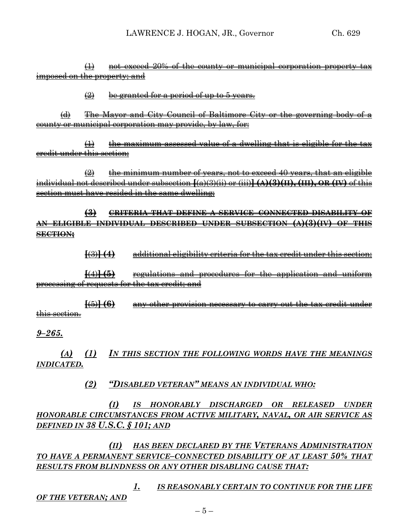(1) not exceed 20% of the county or municipal corporation property tax imposed on the property; and

 $\left( 2\right)$  be granted for a period of up to 5 years.

(d) The Mayor and City Council of Baltimore City or the governing body of a county or municipal corporation may provide, by law, for:

 $(1)$  the maximum assessed value of a dwelling that is eligible for the tax credit under this section;

 $\left( 2 \right)$  the minimum number of years, not to exceed 40 years, that an eligible individual not described under subsection **[**(a)(3)(ii) or (iii)**] (A)(3)(II), (III), OR (IV)** of this section must have resided in the same dwelling;

**(3) CRITERIA THAT DEFINE A SERVICE–CONNECTED DISABILITY OF AN ELIGIBLE INDIVIDUAL DESCRIBED UNDER SUBSECTION (A)(3)(IV) OF THIS SECTION;**

**[**(3)**] (4)** additional eligibility criteria for the tax credit under this section;

**[**(4)**] (5)** regulations and procedures for the application and uniform processing of requests for the tax credit; and

**[**(5)**] (6)** any other provision necessary to carry out the tax credit under this section.

*9–265.*

*(A) (1) IN THIS SECTION THE FOLLOWING WORDS HAVE THE MEANINGS INDICATED.*

### *(2) "DISABLED VETERAN" MEANS AN INDIVIDUAL WHO:*

*(I) IS HONORABLY DISCHARGED OR RELEASED UNDER HONORABLE CIRCUMSTANCES FROM ACTIVE MILITARY, NAVAL, OR AIR SERVICE AS DEFINED IN 38 U.S.C. § 101; AND*

*(II) HAS BEEN DECLARED BY THE VETERANS ADMINISTRATION TO HAVE A PERMANENT SERVICE–CONNECTED DISABILITY OF AT LEAST 50% THAT RESULTS FROM BLINDNESS OR ANY OTHER DISABLING CAUSE THAT:*

*1. IS REASONABLY CERTAIN TO CONTINUE FOR THE LIFE OF THE VETERAN; AND*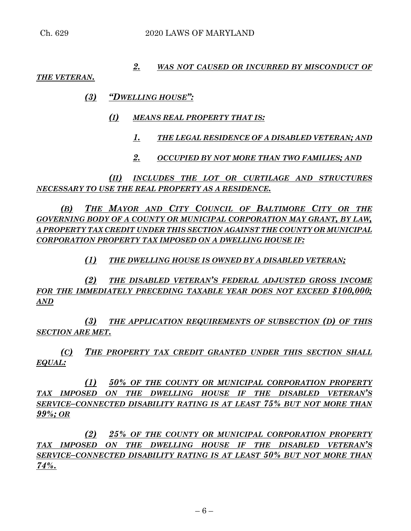### *2. WAS NOT CAUSED OR INCURRED BY MISCONDUCT OF*

#### *THE VETERAN.*

## *(3) "DWELLING HOUSE":*

- *(I) MEANS REAL PROPERTY THAT IS:*
	- *1. THE LEGAL RESIDENCE OF A DISABLED VETERAN; AND*
	- *2. OCCUPIED BY NOT MORE THAN TWO FAMILIES; AND*

*(II) INCLUDES THE LOT OR CURTILAGE AND STRUCTURES NECESSARY TO USE THE REAL PROPERTY AS A RESIDENCE.*

*(B) THE MAYOR AND CITY COUNCIL OF BALTIMORE CITY OR THE GOVERNING BODY OF A COUNTY OR MUNICIPAL CORPORATION MAY GRANT, BY LAW, A PROPERTY TAX CREDIT UNDER THIS SECTION AGAINST THE COUNTY OR MUNICIPAL CORPORATION PROPERTY TAX IMPOSED ON A DWELLING HOUSE IF:*

# *(1) THE DWELLING HOUSE IS OWNED BY A DISABLED VETERAN;*

*(2) THE DISABLED VETERAN'S FEDERAL ADJUSTED GROSS INCOME FOR THE IMMEDIATELY PRECEDING TAXABLE YEAR DOES NOT EXCEED \$100,000; AND*

*(3) THE APPLICATION REQUIREMENTS OF SUBSECTION (D) OF THIS SECTION ARE MET.*

*(C) THE PROPERTY TAX CREDIT GRANTED UNDER THIS SECTION SHALL EQUAL:*

*(1) 50% OF THE COUNTY OR MUNICIPAL CORPORATION PROPERTY TAX IMPOSED ON THE DWELLING HOUSE IF THE DISABLED VETERAN'S SERVICE–CONNECTED DISABILITY RATING IS AT LEAST 75% BUT NOT MORE THAN 99%; OR*

*(2) 25% OF THE COUNTY OR MUNICIPAL CORPORATION PROPERTY TAX IMPOSED ON THE DWELLING HOUSE IF THE DISABLED VETERAN'S SERVICE–CONNECTED DISABILITY RATING IS AT LEAST 50% BUT NOT MORE THAN 74%.*